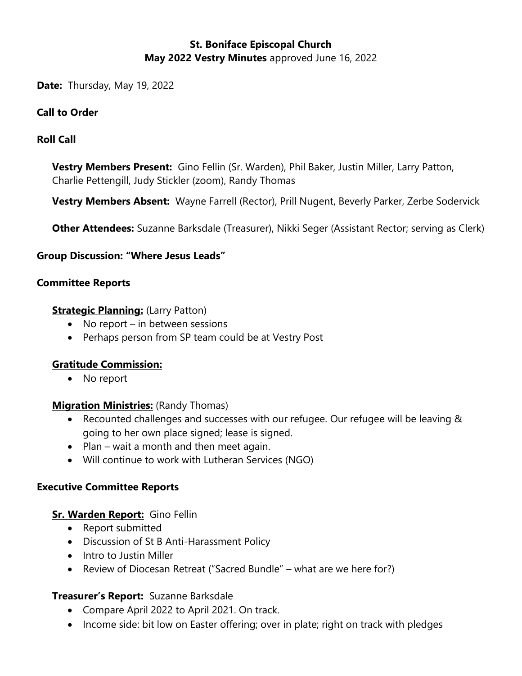# **St. Boniface Episcopal Church May 2022 Vestry Minutes** approved June 16, 2022

**Date:** Thursday, May 19, 2022

### **Call to Order**

## **Roll Call**

**Vestry Members Present:** Gino Fellin (Sr. Warden), Phil Baker, Justin Miller, Larry Patton, Charlie Pettengill, Judy Stickler (zoom), Randy Thomas

**Vestry Members Absent:** Wayne Farrell (Rector), Prill Nugent, Beverly Parker, Zerbe Sodervick

**Other Attendees:** Suzanne Barksdale (Treasurer), Nikki Seger (Assistant Rector; serving as Clerk)

#### **Group Discussion: "Where Jesus Leads"**

#### **Committee Reports**

#### **Strategic Planning:** (Larry Patton)

- No report in between sessions
- Perhaps person from SP team could be at Vestry Post

#### **Gratitude Commission:**

• No report

#### **Migration Ministries:** (Randy Thomas)

- Recounted challenges and successes with our refugee. Our refugee will be leaving & going to her own place signed; lease is signed.
- Plan wait a month and then meet again.
- Will continue to work with Lutheran Services (NGO)

#### **Executive Committee Reports**

## **Sr. Warden Report:** Gino Fellin

- Report submitted
- Discussion of St B Anti-Harassment Policy
- Intro to Justin Miller
- Review of Diocesan Retreat ("Sacred Bundle" what are we here for?)

## **Treasurer's Report:** Suzanne Barksdale

- Compare April 2022 to April 2021. On track.
- Income side: bit low on Easter offering; over in plate; right on track with pledges